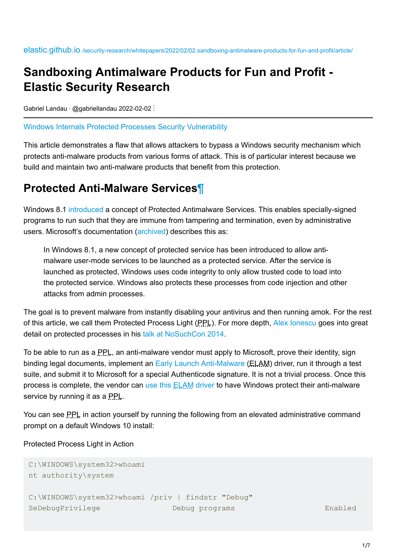## **Sandboxing Antimalware Products for Fun and Profit - Elastic Security Research**

Gabriel Landau · @gabriellandau 2022-02-02 :

[Windows Internals](https://elastic.github.io/security-research/tags/#windows-internals) [Protected Processes](https://elastic.github.io/security-research/tags/#protected-processes) [Security Vulnerability](https://elastic.github.io/security-research/tags/#security-vulnerability)

This article demonstrates a flaw that allows attackers to bypass a Windows security mechanism which protects anti-malware products from various forms of attack. This is of particular interest because we build and maintain two anti-malware products that benefit from this protection.

### <span id="page-0-0"></span>**Protected Anti-Malware Services**[¶](#page-0-0)

Windows 8.1 [introduced](https://docs.microsoft.com/en-us/windows/win32/services/protecting-anti-malware-services-) a concept of Protected Antimalware Services. This enables specially-signed programs to run such that they are immune from tampering and termination, even by administrative users. Microsoft's documentation [\(archived](https://web.archive.org/web/20211019010629/https://docs.microsoft.com/en-us/windows/win32/services/protecting-anti-malware-services-)) describes this as:

In Windows 8.1, a new concept of protected service has been introduced to allow antimalware user-mode services to be launched as a protected service. After the service is launched as protected, Windows uses code integrity to only allow trusted code to load into the protected service. Windows also protects these processes from code injection and other attacks from admin processes.

The goal is to prevent malware from instantly disabling your antivirus and then running amok. For the rest of this article, we call them Protected Process Light (PPL). For more depth, [Alex Ionescu](https://twitter.com/aionescu) goes into great detail on protected processes in his [talk at NoSuchCon 2014.](https://www.youtube.com/watch?v=35L_qJNMu1A)

To be able to run as a PPL, an anti-malware vendor must apply to Microsoft, prove their identity, sign binding legal documents, implement an [Early Launch Anti-Malware](https://docs.microsoft.com/en-us/windows/win32/w8cookbook/secured-boot) (ELAM) driver, run it through a test suite, and submit it to Microsoft for a special Authenticode signature. It is not a trivial process. Once this process is complete, the vendor can [use this ELAM driver](https://docs.microsoft.com/en-us/windows/win32/api/sysinfoapi/nf-sysinfoapi-installelamcertificateinfo) to have Windows protect their anti-malware service by running it as a PPL.

You can see PPL in action yourself by running the following from an elevated administrative command prompt on a default Windows 10 install:

Protected Process Light in Action

```
C:\WINDOWS\system32>whoami
nt authority\system
C:\WINDOWS\system32>whoami /priv | findstr "Debug"
SeDebugPrivilege Debug programs Enabled
```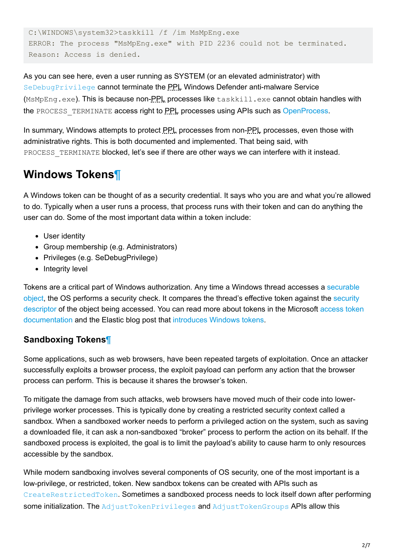```
C:\WINDOWS\system32>taskkill /f /im MsMpEng.exe
ERROR: The process "MsMpEng.exe" with PID 2236 could not be terminated.
Reason: Access is denied.
```
As you can see here, even a user running as SYSTEM (or an elevated administrator) with [SeDebugPrivilege](https://devblogs.microsoft.com/oldnewthing/20080314-00/?p=23113) cannot terminate the PPL Windows Defender anti-malware Service (MsMpEng.exe). This is because non-PPL processes like taskkill.exe cannot obtain handles with the PROCESS TERMINATE access right to PPL processes using APIs such as [OpenProcess.](https://docs.microsoft.com/en-us/windows/win32/api/processthreadsapi/nf-processthreadsapi-openprocess)

In summary, Windows attempts to protect PPL processes from non-PPL processes, even those with administrative rights. This is both documented and implemented. That being said, with PROCESS TERMINATE blocked, let's see if there are other ways we can interfere with it instead.

## <span id="page-1-0"></span>**Windows Tokens**[¶](#page-1-0)

A Windows token can be thought of as a security credential. It says who you are and what you're allowed to do. Typically when a user runs a process, that process runs with their token and can do anything the user can do. Some of the most important data within a token include:

- User identity
- Group membership (e.g. Administrators)
- Privileges (e.g. SeDebugPrivilege)
- Integrity level

[Tokens are a critical part of Windows authorization. Any time a Windows thread accesses a securable](https://docs.microsoft.com/en-us/windows/win32/secauthz/securable-objects) [object, the OS performs a security check. It compares the thread's effective token against the security](https://docs.microsoft.com/en-us/windows/win32/secauthz/security-descriptors) [descriptor of the object being accessed. You can read more about tokens in the Microsoft access token](https://docs.microsoft.com/en-us/windows/win32/secauthz/access-tokens) documentation and the Elastic blog post that [introduces Windows tokens.](https://www.elastic.co/blog/introduction-to-windows-tokens-for-security-practitioners)

#### <span id="page-1-1"></span>**Sandboxing Tokens**[¶](#page-1-1)

Some applications, such as web browsers, have been repeated targets of exploitation. Once an attacker successfully exploits a browser process, the exploit payload can perform any action that the browser process can perform. This is because it shares the browser's token.

To mitigate the damage from such attacks, web browsers have moved much of their code into lowerprivilege worker processes. This is typically done by creating a restricted security context called a sandbox. When a sandboxed worker needs to perform a privileged action on the system, such as saving a downloaded file, it can ask a non-sandboxed "broker" process to perform the action on its behalf. If the sandboxed process is exploited, the goal is to limit the payload's ability to cause harm to only resources accessible by the sandbox.

While modern sandboxing involves several components of OS security, one of the most important is a low-privilege, or restricted, token. New sandbox tokens can be created with APIs such as [CreateRestrictedToken](https://docs.microsoft.com/en-us/windows/win32/api/securitybaseapi/nf-securitybaseapi-createrestrictedtoken). Sometimes a sandboxed process needs to lock itself down after performing some initialization. The [AdjustTokenPrivileges](https://docs.microsoft.com/en-us/windows/win32/api/securitybaseapi/nf-securitybaseapi-adjusttokenprivileges) and [AdjustTokenGroups](https://docs.microsoft.com/en-us/windows/win32/api/securitybaseapi/nf-securitybaseapi-adjusttokengroups) APIs allow this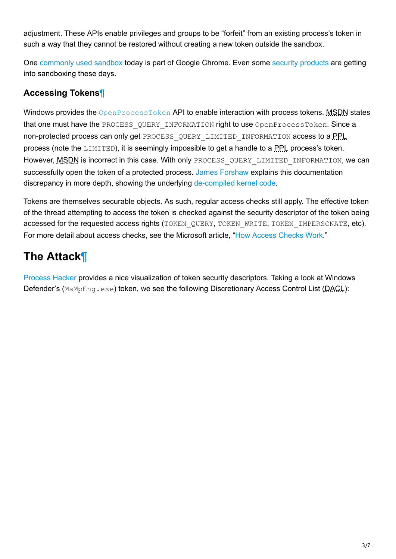adjustment. These APIs enable privileges and groups to be "forfeit" from an existing process's token in such a way that they cannot be restored without creating a new token outside the sandbox.

One [commonly used sandbox](https://chromium.googlesource.com/chromium/src/+/master/docs/design/sandbox.md) today is part of Google Chrome. Even some [security products](https://www.microsoft.com/security/blog/2018/10/26/windows-defender-antivirus-can-now-run-in-a-sandbox/) are getting into sandboxing these days.

### <span id="page-2-0"></span>**Accessing Tokens**[¶](#page-2-0)

Windows provides the **[OpenProcessToken](https://docs.microsoft.com/en-us/windows/win32/api/processthreadsapi/nf-processthreadsapi-openprocesstoken) API** to enable interaction with process tokens. MSDN states that one must have the PROCESS QUERY INFORMATION right to use OpenProcessToken. Since a non-protected process can only get PROCESS QUERY LIMITED INFORMATION access to a PPL process (note the LIMITED), it is seemingly impossible to get a handle to a PPL process's token. However, MSDN is incorrect in this case. With only PROCESS QUERY LIMITED INFORMATION, we can successfully open the token of a protected process. [James Forshaw](https://twitter.com/tiraniddo) explains this documentation discrepancy in more depth, showing the underlying [de-compiled kernel code](https://www.tiraniddo.dev/2017/05/reading-your-way-around-uac-part-2.html).

Tokens are themselves securable objects. As such, regular access checks still apply. The effective token of the thread attempting to access the token is checked against the security descriptor of the token being accessed for the requested access rights (TOKEN\_QUERY, TOKEN\_WRITE, TOKEN\_IMPERSONATE, etc). For more detail about access checks, see the Microsoft article, ["How Access Checks Work](https://docs.microsoft.com/en-us/windows/win32/secauthz/how-dacls-control-access-to-an-object)."

# <span id="page-2-1"></span>**The Attack**[¶](#page-2-1)

[Process Hacker](https://github.com/processhacker/processhacker/releases/tag/v2.39) provides a nice visualization of token security descriptors. Taking a look at Windows Defender's (MsMpEng.exe) token, we see the following Discretionary Access Control List (DACL):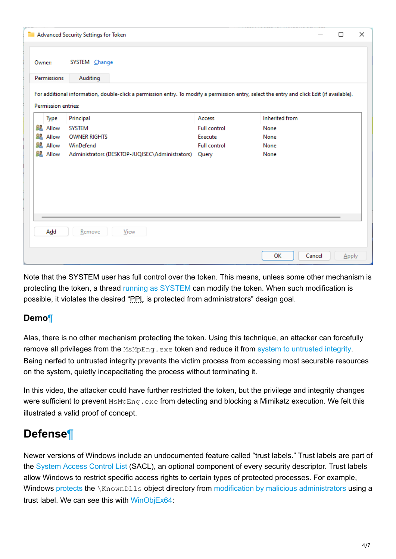|                                                                         | Advanced Security Settings for Token                                                                                                       |                                                                          |                                                | □ | $\times$ |
|-------------------------------------------------------------------------|--------------------------------------------------------------------------------------------------------------------------------------------|--------------------------------------------------------------------------|------------------------------------------------|---|----------|
| Owner:<br>Permissions                                                   | SYSTEM Change<br>Auditing                                                                                                                  |                                                                          |                                                |   |          |
| Permission entries:                                                     | For additional information, double-click a permission entry. To modify a permission entry, select the entry and click Edit (if available). |                                                                          |                                                |   |          |
| Type<br><b>显 Allow</b><br>Allow<br>82<br>82<br>Allow<br><b>SZ</b> Allow | Principal<br><b>SYSTEM</b><br><b>OWNER RIGHTS</b><br>WinDefend<br>Administrators (DESKTOP-JUQJSEC\Administrators)                          | Access<br><b>Full control</b><br>Execute<br><b>Full control</b><br>Query | Inherited from<br>None<br>None<br>None<br>None |   |          |
| Add                                                                     | View<br>Remove                                                                                                                             |                                                                          |                                                |   |          |

Note that the SYSTEM user has full control over the token. This means, unless some other mechanism is protecting the token, a thread [running as SYSTEM](https://powersploit.readthedocs.io/en/latest/Privesc/Get-System/) can modify the token. When such modification is possible, it violates the desired "PPL is protected from administrators" design goal.

#### <span id="page-3-0"></span>**Demo**[¶](#page-3-0)

Alas, there is no other mechanism protecting the token. Using this technique, an attacker can forcefully remove all privileges from the MsMpEng.exe token and reduce it from [system to untrusted integrity](https://docs.microsoft.com/en-us/windows/win32/secauthz/mandatory-integrity-control). Being nerfed to untrusted integrity prevents the victim process from accessing most securable resources on the system, quietly incapacitating the process without terminating it.

In this video, the attacker could have further restricted the token, but the privilege and integrity changes were sufficient to prevent MsMpEng.exe from detecting and blocking a Mimikatz execution. We felt this illustrated a valid proof of concept.

## <span id="page-3-1"></span>**Defense**[¶](#page-3-1)

Newer versions of Windows include an undocumented feature called "trust labels." Trust labels are part of the [System Access Control List](https://docs.microsoft.com/en-us/windows/win32/ad/retrieving-an-objectampaposs-sacl) (SACL), an optional component of every security descriptor. Trust labels allow Windows to restrict specific access rights to certain types of protected processes. For example, Windows [protects](https://www.elastic.co/blog/protecting-windows-protected-processes) the \KnownDlls object directory from [modification by malicious administrators](https://www.elastic.co/blog/detect-block-unknown-knowndlls-windows-acl-hardening-attacks-cache-poisoning-escalation) using a trust label. We can see this with [WinObjEx64](https://github.com/hfiref0x/WinObjEx64):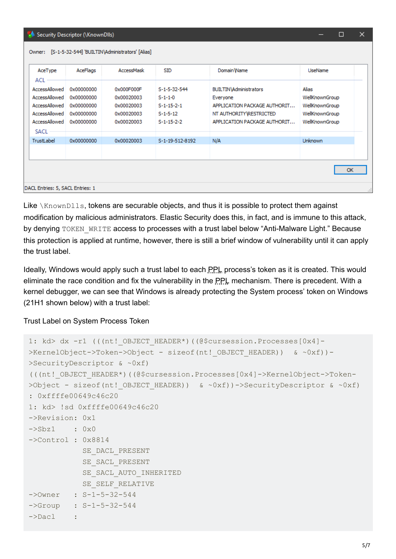| Security Descriptor (\KnownDlls)                                                                 | □                                                                  | ×                                                                  |                                                                         |                                                                                                                                      |                                                                               |  |  |  |  |  |
|--------------------------------------------------------------------------------------------------|--------------------------------------------------------------------|--------------------------------------------------------------------|-------------------------------------------------------------------------|--------------------------------------------------------------------------------------------------------------------------------------|-------------------------------------------------------------------------------|--|--|--|--|--|
| [S-1-5-32-544] 'BUILTIN\Administrators' [Alias]<br>Owner:                                        |                                                                    |                                                                    |                                                                         |                                                                                                                                      |                                                                               |  |  |  |  |  |
| AceType<br>ACL                                                                                   | AceFlags                                                           | AccessMask                                                         | SID                                                                     | Domain Wame                                                                                                                          | UseName                                                                       |  |  |  |  |  |
| AccessAllowed<br>AccessAllowed<br>AccessAllowed<br>AccessAllowed<br>AccessAllowed<br><b>SACL</b> | 0x00000000<br>0x00000000<br>0x00000000<br>0x00000000<br>0x00000000 | 0x000F000F<br>0x00020003<br>0x00020003<br>0x00020003<br>0x00020003 | S-1-5-32-544<br>$S-1-1-0$<br>$S-1-15-2-1$<br>$S-1-5-12$<br>$S-1-15-2-2$ | <b>BUILTIN</b> Administrators<br>Everyone<br>APPLICATION PACKAGE AUTHORIT<br>NT AUTHORITY RESTRICTED<br>APPLICATION PACKAGE AUTHORIT | Alias<br>WellKnownGroup<br>WellKnownGroup<br>WellKnownGroup<br>WellKnownGroup |  |  |  |  |  |
| TrustLabel                                                                                       | 0x00000000                                                         | 0x00020003                                                         | S-1-19-512-8192                                                         | N/A                                                                                                                                  | <b>Unknown</b><br>OK                                                          |  |  |  |  |  |
| DACL Entries: 5, SACL Entries: 1<br>                                                             |                                                                    |                                                                    |                                                                         |                                                                                                                                      |                                                                               |  |  |  |  |  |

Like  $\chi_{\text{nownDlls}}$ , tokens are securable objects, and thus it is possible to protect them against modification by malicious administrators. Elastic Security does this, in fact, and is immune to this attack, by denying TOKEN WRITE access to processes with a trust label below "Anti-Malware Light." Because this protection is applied at runtime, however, there is still a brief window of vulnerability until it can apply the trust label.

Ideally, Windows would apply such a trust label to each PPL process's token as it is created. This would eliminate the race condition and fix the vulnerability in the PPL mechanism. There is precedent. With a kernel debugger, we can see that Windows is already protecting the System process' token on Windows (21H1 shown below) with a trust label:

Trust Label on System Process Token

```
1: kd> dx -r1 (((nt! OBJECT HEADER*)((@$cursession.Processes[0x4]-
>KernelObject->Token->Object - sizeof(nt! OBJECT HEADER)) & ~0xf))-
>SecurityDescriptor & ~0xf)
(((nt!_OBJECT_HEADER*)((@$cursession.Processes[0x4]->KernelObject->Token-
>Object - sizeof(nt! OBJECT HEADER)) & ~0xf))->SecurityDescriptor & ~0xf)
: 0xffffe00649c46c20
1: kd> !sd 0xffffe00649c46c20
->Revision: 0x1
\rightarrowSbz1 : 0x0
->Control : 0x8814
             SE_DACL_PRESENT
            SE SACL PRESENT
            SE SACL AUTO INHERITED
            SE_SELF_RELATIVE
->Owner : S-1-5-32-544
->Group : S-1-5-32-544
\rightarrowDacl :
```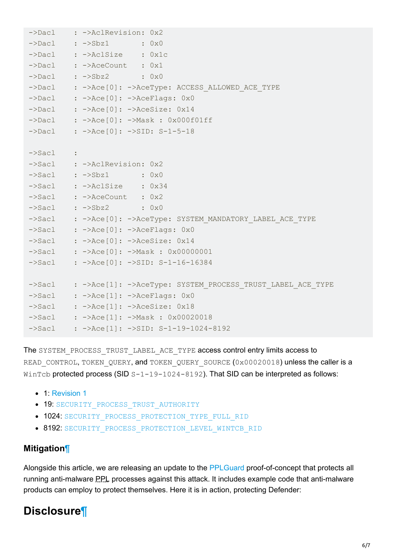```
->Dacl : ->AclRevision: 0x2
\rightarrowDacl : \rightarrowSbz1 : 0x0
->Dacl : ->AclSize : 0x1c
->Dacl : ->AceCount : 0x1
->Dacl : ->Sbz2 : 0x0
->Dacl : ->Ace[0]: ->AceType: ACCESS ALLOWED ACE TYPE
->Dacl : ->Ace[0]: ->AceFlags: 0x0
->Dacl : ->Ace[0]: ->AceSize: 0x14
->Dacl : ->Ace[0]: ->Mask : 0x000f01ff
->Dacl : ->Ace[0]: ->SID: S-1-5-18
->Sacl :
->Sacl : ->AclRevision: 0x2
->Sacl : ->Sbz1 : 0x0
->Sacl : ->AclSize : 0x34
->Sacl : ->AceCount : 0x2
\rightarrowSacl : \rightarrowSbz2 : 0x0
->Sacl : ->Ace[0]: ->AceType: SYSTEM_MANDATORY_LABEL_ACE_TYPE
->Sacl : ->Ace[0]: ->AceFlags: 0x0
\rightarrowSacl : \rightarrowAce[0]: \rightarrowAceSize: 0x14
->Sacl : ->Ace[0]: ->Mask : 0x00000001
->Sacl : ->Ace[0]: ->SID: S-1-16-16384
->Sacl : ->Ace[1]: ->AceType: SYSTEM PROCESS TRUST LABEL ACE TYPE
->Sacl : ->Ace[1]: ->AceFlags: 0x0
->Sacl : ->Ace[1]: ->AceSize: 0x18
->Sacl : ->Ace[1]: ->Mask : 0x00020018
->Sacl : ->Ace[1]: ->SID: S-1-19-1024-8192
```
The SYSTEM PROCESS TRUST LABEL ACE TYPE access control entry limits access to READ CONTROL, TOKEN QUERY, and TOKEN QUERY SOURCE (0x00020018) unless the caller is a WinTcb protected process (SID  $S-1-19-1024-8192$ ). That SID can be interpreted as follows:

- 1: [Revision 1](https://github.com/gabriellandau/ctypes-windows-sdk/blob/0a5bfaa9385391038a7d31928b14d6fe5b76fa97/cwinsdk/um/winnt.py#L1794)
- 19: SECURITY PROCESS TRUST AUTHORITY
- $\bullet$  1024: [SECURITY\\_PROCESS\\_PROTECTION\\_TYPE\\_FULL\\_RID](https://github.com/gabriellandau/ctypes-windows-sdk/blob/0a5bfaa9385391038a7d31928b14d6fe5b76fa97/cwinsdk/um/winnt.py#L2100)
- 8192: [SECURITY\\_PROCESS\\_PROTECTION\\_LEVEL\\_WINTCB\\_RID](https://github.com/gabriellandau/ctypes-windows-sdk/blob/0a5bfaa9385391038a7d31928b14d6fe5b76fa97/cwinsdk/um/winnt.py#L2104)

#### <span id="page-5-0"></span>**Mitigation**[¶](#page-5-0)

Alongside this article, we are releasing an update to the [PPLGuard](https://github.com/elastic/PPLGuard) proof-of-concept that protects all running anti-malware **PPL** processes against this attack. It includes example code that anti-malware products can employ to protect themselves. Here it is in action, protecting Defender:

## <span id="page-5-1"></span>**Disclosure**[¶](#page-5-1)